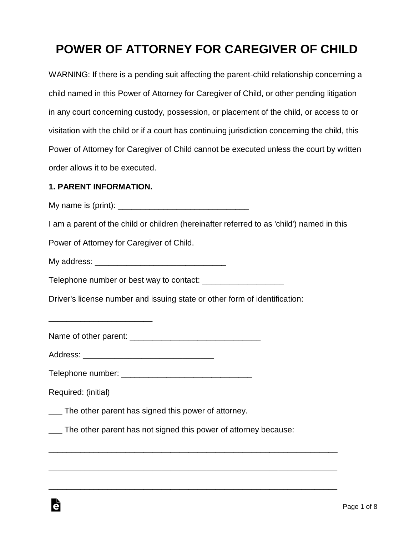# **POWER OF ATTORNEY FOR CAREGIVER OF CHILD**

WARNING: If there is a pending suit affecting the parent-child relationship concerning a child named in this Power of Attorney for Caregiver of Child, or other pending litigation in any court concerning custody, possession, or placement of the child, or access to or visitation with the child or if a court has continuing jurisdiction concerning the child, this Power of Attorney for Caregiver of Child cannot be executed unless the court by written order allows it to be executed.

#### **1. PARENT INFORMATION.**

\_\_\_\_\_\_\_\_\_\_\_\_\_\_\_\_\_\_\_\_\_\_\_

My name is  $(print)$ :

I am a parent of the child or children (hereinafter referred to as 'child') named in this

Power of Attorney for Caregiver of Child.

My address: **Example 20** and 20 and 20 and 20 and 20 and 20 and 20 and 20 and 20 and 20 and 20 and 20 and 20 and 20 and 20 and 20 and 20 and 20 and 20 and 20 and 20 and 20 and 20 and 20 and 20 and 20 and 20 and 20 and 20 a

Telephone number or best way to contact:

Driver's license number and issuing state or other form of identification:

Name of other parent: \_\_\_\_\_\_\_\_\_\_\_\_\_\_\_\_\_\_\_\_\_\_\_\_\_\_\_\_\_

Address: \_\_\_\_\_\_\_\_\_\_\_\_\_\_\_\_\_\_\_\_\_\_\_\_\_\_\_\_\_

Telephone number: \_\_\_\_\_\_\_\_\_\_\_\_\_\_\_\_\_\_\_\_\_\_\_\_\_\_\_\_\_

Required: (initial)

\_\_\_ The other parent has signed this power of attorney.

\_\_\_ The other parent has not signed this power of attorney because:

\_\_\_\_\_\_\_\_\_\_\_\_\_\_\_\_\_\_\_\_\_\_\_\_\_\_\_\_\_\_\_\_\_\_\_\_\_\_\_\_\_\_\_\_\_\_\_\_\_\_\_\_\_\_\_\_\_\_\_\_\_\_\_\_

\_\_\_\_\_\_\_\_\_\_\_\_\_\_\_\_\_\_\_\_\_\_\_\_\_\_\_\_\_\_\_\_\_\_\_\_\_\_\_\_\_\_\_\_\_\_\_\_\_\_\_\_\_\_\_\_\_\_\_\_\_\_\_\_

\_\_\_\_\_\_\_\_\_\_\_\_\_\_\_\_\_\_\_\_\_\_\_\_\_\_\_\_\_\_\_\_\_\_\_\_\_\_\_\_\_\_\_\_\_\_\_\_\_\_\_\_\_\_\_\_\_\_\_\_\_\_\_\_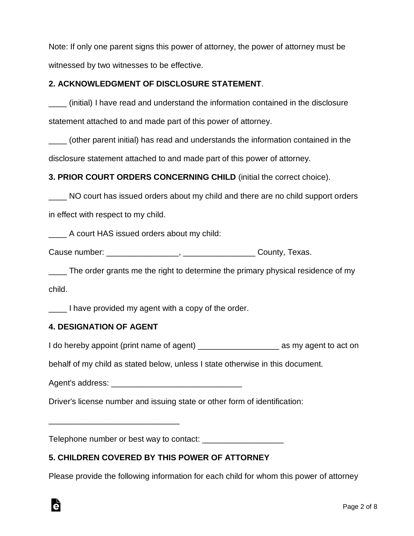Note: If only one parent signs this power of attorney, the power of attorney must be witnessed by two witnesses to be effective.

#### **2. ACKNOWLEDGMENT OF DISCLOSURE STATEMENT**.

\_\_\_\_ (initial) I have read and understand the information contained in the disclosure statement attached to and made part of this power of attorney.

\_\_\_\_ (other parent initial) has read and understands the information contained in the disclosure statement attached to and made part of this power of attorney.

**3. PRIOR COURT ORDERS CONCERNING CHILD** (initial the correct choice).

NO court has issued orders about my child and there are no child support orders in effect with respect to my child.

A court HAS issued orders about my child:

Cause number: \_\_\_\_\_\_\_\_\_\_\_\_\_\_\_\_, \_\_\_\_\_\_\_\_\_\_\_\_\_\_\_\_ County, Texas.

\_\_\_\_ The order grants me the right to determine the primary physical residence of my child.

\_\_\_\_ I have provided my agent with a copy of the order.

#### **4. DESIGNATION OF AGENT**

\_\_\_\_\_\_\_\_\_\_\_\_\_\_\_\_\_\_\_\_\_\_\_\_\_\_\_\_\_

I do hereby appoint (print name of agent) \_\_\_\_\_\_\_\_\_\_\_\_\_\_\_\_\_\_ as my agent to act on

behalf of my child as stated below, unless I state otherwise in this document.

Agent's address: **Example 20** 

Driver's license number and issuing state or other form of identification:

Telephone number or best way to contact: \_\_\_\_\_\_\_\_\_\_\_\_\_\_\_\_\_\_

# **5. CHILDREN COVERED BY THIS POWER OF ATTORNEY**

Please provide the following information for each child for whom this power of attorney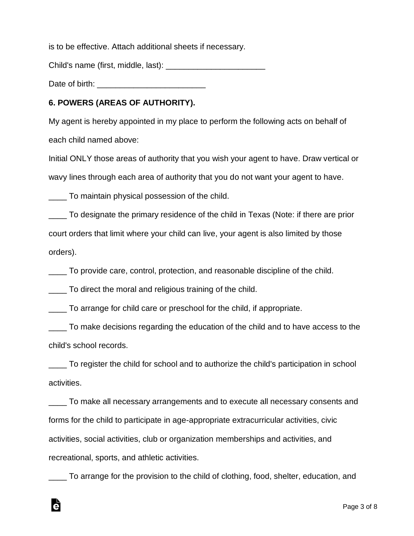is to be effective. Attach additional sheets if necessary.

Child's name (first, middle, last):

Date of birth: \_\_\_\_\_\_\_\_\_\_\_\_\_\_\_\_\_\_\_\_\_\_\_\_

## **6. POWERS (AREAS OF AUTHORITY).**

My agent is hereby appointed in my place to perform the following acts on behalf of each child named above:

Initial ONLY those areas of authority that you wish your agent to have. Draw vertical or wavy lines through each area of authority that you do not want your agent to have.

\_\_\_\_ To maintain physical possession of the child.

\_\_\_\_ To designate the primary residence of the child in Texas (Note: if there are prior court orders that limit where your child can live, your agent is also limited by those orders).

\_\_\_\_ To provide care, control, protection, and reasonable discipline of the child.

\_\_\_\_ To direct the moral and religious training of the child.

Ġ

\_\_\_\_ To arrange for child care or preschool for the child, if appropriate.

\_\_\_\_ To make decisions regarding the education of the child and to have access to the child's school records.

\_\_\_\_ To register the child for school and to authorize the child's participation in school activities.

\_\_\_\_ To make all necessary arrangements and to execute all necessary consents and forms for the child to participate in age-appropriate extracurricular activities, civic activities, social activities, club or organization memberships and activities, and recreational, sports, and athletic activities.

\_\_\_\_ To arrange for the provision to the child of clothing, food, shelter, education, and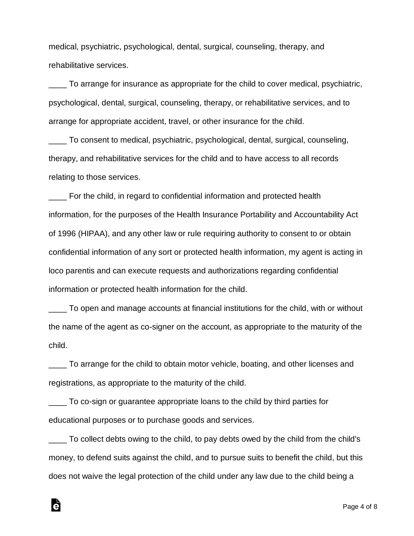medical, psychiatric, psychological, dental, surgical, counseling, therapy, and rehabilitative services.

\_\_\_\_ To arrange for insurance as appropriate for the child to cover medical, psychiatric, psychological, dental, surgical, counseling, therapy, or rehabilitative services, and to arrange for appropriate accident, travel, or other insurance for the child.

\_\_\_\_ To consent to medical, psychiatric, psychological, dental, surgical, counseling, therapy, and rehabilitative services for the child and to have access to all records relating to those services.

\_\_\_\_ For the child, in regard to confidential information and protected health information, for the purposes of the Health Insurance Portability and Accountability Act of 1996 (HIPAA), and any other law or rule requiring authority to consent to or obtain confidential information of any sort or protected health information, my agent is acting in loco parentis and can execute requests and authorizations regarding confidential information or protected health information for the child.

\_\_\_\_ To open and manage accounts at financial institutions for the child, with or without the name of the agent as co-signer on the account, as appropriate to the maturity of the child.

\_\_\_\_ To arrange for the child to obtain motor vehicle, boating, and other licenses and registrations, as appropriate to the maturity of the child.

\_\_\_\_ To co-sign or guarantee appropriate loans to the child by third parties for educational purposes or to purchase goods and services.

Ġ

\_\_\_\_ To collect debts owing to the child, to pay debts owed by the child from the child's money, to defend suits against the child, and to pursue suits to benefit the child, but this does not waive the legal protection of the child under any law due to the child being a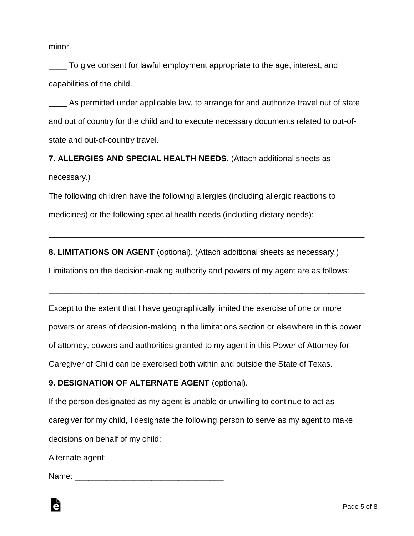minor.

To give consent for lawful employment appropriate to the age, interest, and capabilities of the child.

\_\_\_\_ As permitted under applicable law, to arrange for and authorize travel out of state and out of country for the child and to execute necessary documents related to out-ofstate and out-of-country travel.

**7. ALLERGIES AND SPECIAL HEALTH NEEDS**. (Attach additional sheets as necessary.)

The following children have the following allergies (including allergic reactions to medicines) or the following special health needs (including dietary needs):

**8. LIMITATIONS ON AGENT** (optional). (Attach additional sheets as necessary.)

Limitations on the decision-making authority and powers of my agent are as follows:

\_\_\_\_\_\_\_\_\_\_\_\_\_\_\_\_\_\_\_\_\_\_\_\_\_\_\_\_\_\_\_\_\_\_\_\_\_\_\_\_\_\_\_\_\_\_\_\_\_\_\_\_\_\_\_\_\_\_\_\_\_\_\_\_\_\_\_\_\_\_

Except to the extent that I have geographically limited the exercise of one or more powers or areas of decision-making in the limitations section or elsewhere in this power of attorney, powers and authorities granted to my agent in this Power of Attorney for Caregiver of Child can be exercised both within and outside the State of Texas.

\_\_\_\_\_\_\_\_\_\_\_\_\_\_\_\_\_\_\_\_\_\_\_\_\_\_\_\_\_\_\_\_\_\_\_\_\_\_\_\_\_\_\_\_\_\_\_\_\_\_\_\_\_\_\_\_\_\_\_\_\_\_\_\_\_\_\_\_\_\_

### **9. DESIGNATION OF ALTERNATE AGENT** (optional).

If the person designated as my agent is unable or unwilling to continue to act as caregiver for my child, I designate the following person to serve as my agent to make decisions on behalf of my child:

Alternate agent:

Ġ

Name: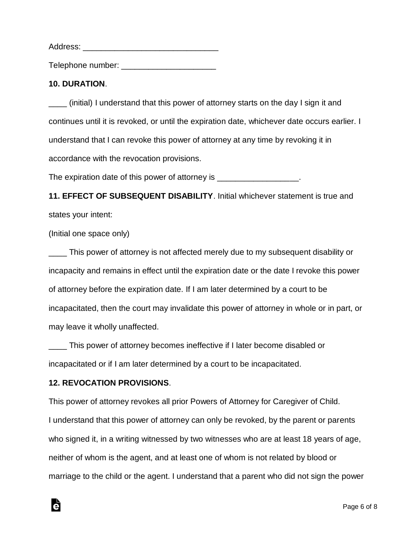Address:

Telephone number:  $\blacksquare$ 

### **10. DURATION**.

\_\_\_\_ (initial) I understand that this power of attorney starts on the day I sign it and continues until it is revoked, or until the expiration date, whichever date occurs earlier. I understand that I can revoke this power of attorney at any time by revoking it in accordance with the revocation provisions.

The expiration date of this power of attorney is  $\blacksquare$ 

**11. EFFECT OF SUBSEQUENT DISABILITY**. Initial whichever statement is true and states your intent:

(Initial one space only)

\_\_\_\_ This power of attorney is not affected merely due to my subsequent disability or incapacity and remains in effect until the expiration date or the date I revoke this power of attorney before the expiration date. If I am later determined by a court to be incapacitated, then the court may invalidate this power of attorney in whole or in part, or may leave it wholly unaffected.

\_\_\_\_ This power of attorney becomes ineffective if I later become disabled or incapacitated or if I am later determined by a court to be incapacitated.

### **12. REVOCATION PROVISIONS**.

à

This power of attorney revokes all prior Powers of Attorney for Caregiver of Child. I understand that this power of attorney can only be revoked, by the parent or parents who signed it, in a writing witnessed by two witnesses who are at least 18 years of age, neither of whom is the agent, and at least one of whom is not related by blood or marriage to the child or the agent. I understand that a parent who did not sign the power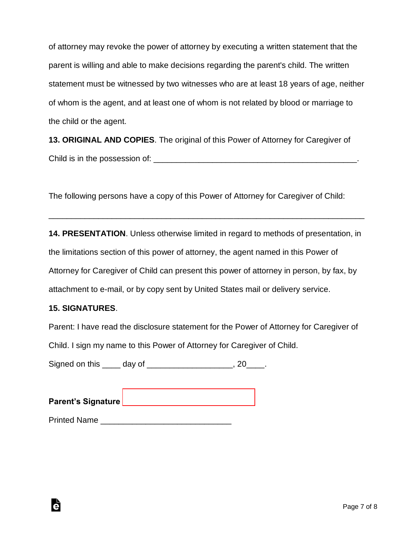of attorney may revoke the power of attorney by executing a written statement that the parent is willing and able to make decisions regarding the parent's child. The written statement must be witnessed by two witnesses who are at least 18 years of age, neither of whom is the agent, and at least one of whom is not related by blood or marriage to the child or the agent.

**13. ORIGINAL AND COPIES**. The original of this Power of Attorney for Caregiver of Child is in the possession of: \_\_\_\_\_\_\_\_\_\_\_\_\_\_\_\_\_\_\_\_\_\_\_\_\_\_\_\_\_\_\_\_\_\_\_\_\_\_\_\_\_\_\_\_\_.

The following persons have a copy of this Power of Attorney for Caregiver of Child:

**14. PRESENTATION**. Unless otherwise limited in regard to methods of presentation, in the limitations section of this power of attorney, the agent named in this Power of Attorney for Caregiver of Child can present this power of attorney in person, by fax, by attachment to e-mail, or by copy sent by United States mail or delivery service.

\_\_\_\_\_\_\_\_\_\_\_\_\_\_\_\_\_\_\_\_\_\_\_\_\_\_\_\_\_\_\_\_\_\_\_\_\_\_\_\_\_\_\_\_\_\_\_\_\_\_\_\_\_\_\_\_\_\_\_\_\_\_\_\_\_\_\_\_\_\_

#### **15. SIGNATURES**.

à

Parent: I have read the disclosure statement for the Power of Attorney for Caregiver of

Child. I sign my name to this Power of Attorney for Caregiver of Child.

Signed on this \_\_\_\_\_ day of \_\_\_\_\_\_\_\_\_\_\_\_\_\_\_\_\_\_\_\_, 20\_\_\_\_.

**Parent's Signature** [\\_\\_\\_\\_\\_\\_\\_\\_\\_\\_\\_\\_\\_\\_\\_\\_\\_\\_\\_\\_\\_\\_\\_\\_\\_\\_\\_\\_\\_](www.esign.com)

Printed Name \_\_\_\_\_\_\_\_\_\_\_\_\_\_\_\_\_\_\_\_\_\_\_\_\_\_\_\_\_